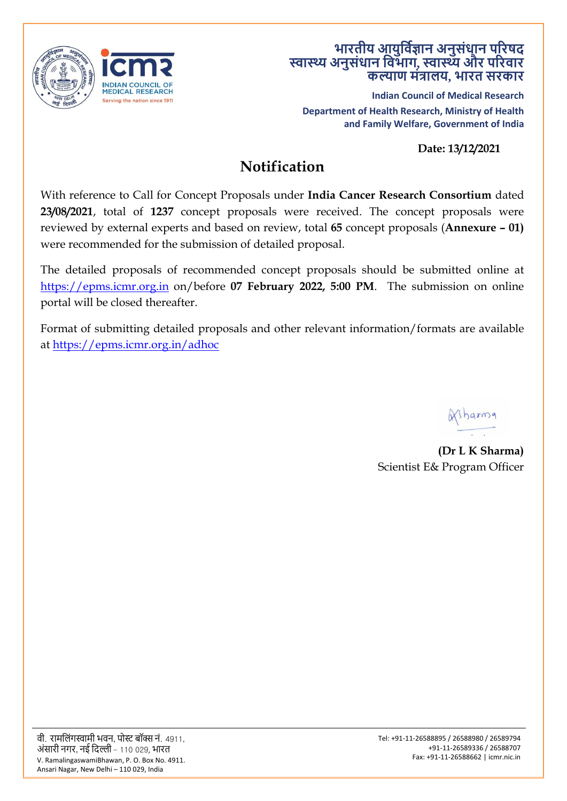

## **भारतीय आयुर्विज्ञान अनुसंधान पररषद स्वास्थ्यअनुसंधान र्वभाग, स्वास्थ्यऔर पररवार कल्याण मंत्रालय, भारत सरकार**

**Indian Council of Medical Research Department of Health Research, Ministry of Health and Family Welfare, Government of India**

**Date: 13/12/2021**

# **Notification**

With reference to Call for Concept Proposals under **India Cancer Research Consortium** dated **23/08/2021**, total of **1237** concept proposals were received. The concept proposals were reviewed by external experts and based on review, total **65** concept proposals (**Annexure – 01)**  were recommended for the submission of detailed proposal.

The detailed proposals of recommended concept proposals should be submitted online at [https://epms.icmr.org.in](https://epms.icmr.org.in/) on/before **07 February 2022, 5:00 PM**. The submission on online portal will be closed thereafter.

Format of submitting detailed proposals and other relevant information/formats are available at<https://epms.icmr.org.in/adhoc>

Wsharma

**(Dr L K Sharma)** Scientist E& Program Officer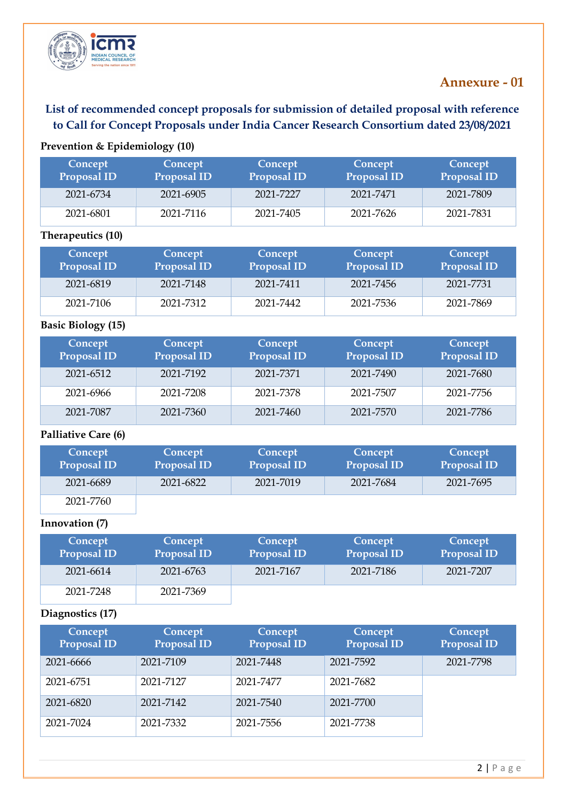

# **Annexure - 01**

# **List of recommended concept proposals for submission of detailed proposal with reference to Call for Concept Proposals under India Cancer Research Consortium dated 23/08/2021**

### **Prevention & Epidemiology (10)**

| Concept<br><b>Proposal ID</b> | <b>Concept</b><br>Proposal ID | Concept<br><b>Proposal ID</b> | Concept<br><b>Proposal ID</b> | Concept<br><b>Proposal ID</b> |
|-------------------------------|-------------------------------|-------------------------------|-------------------------------|-------------------------------|
| 2021-6734                     | 2021-6905                     | 2021-7227                     | 2021-7471                     | 2021-7809                     |
| 2021-6801                     | 2021-7116                     | 2021-7405                     | 2021-7626                     | 2021-7831                     |

#### **Therapeutics (10)**

| Concept<br>Proposal ID | Concept<br>Proposal ID | Concept<br><b>Proposal ID</b> | Concept<br><b>Proposal ID</b> | Concept<br><b>Proposal ID</b> |
|------------------------|------------------------|-------------------------------|-------------------------------|-------------------------------|
| 2021-6819              | 2021-7148              | 2021-7411                     | 2021-7456                     | 2021-7731                     |
| 2021-7106              | 2021-7312              | 2021-7442                     | 2021-7536                     | 2021-7869                     |

#### **Basic Biology (15)**

| Concept<br>Proposal ID | Concept<br>Proposal ID | Concept<br><b>Proposal ID</b> | Concept<br><b>Proposal ID</b> | Concept<br><b>Proposal ID</b> |
|------------------------|------------------------|-------------------------------|-------------------------------|-------------------------------|
| 2021-6512              | 2021-7192              | 2021-7371                     | 2021-7490                     | 2021-7680                     |
| 2021-6966              | 2021-7208              | 2021-7378                     | 2021-7507                     | 2021-7756                     |
| 2021-7087              | 2021-7360              | 2021-7460                     | 2021-7570                     | 2021-7786                     |

#### **Palliative Care (6)**

| Concept<br><b>Proposal ID</b> | Concept<br>Proposal ID | Concept<br><b>Proposal ID</b> | Concept<br><b>Proposal ID</b> | Concept<br><b>Proposal ID</b> |
|-------------------------------|------------------------|-------------------------------|-------------------------------|-------------------------------|
| 2021-6689                     | 2021-6822              | 2021-7019                     | 2021-7684                     | 2021-7695                     |
| 2021-7760                     |                        |                               |                               |                               |

#### **Innovation (7)**

| Concept<br>Proposal ID | Concept<br>Proposal ID | Concept<br><b>Proposal ID</b> | Concept<br><b>Proposal ID</b> | Concept<br><b>Proposal ID</b> |
|------------------------|------------------------|-------------------------------|-------------------------------|-------------------------------|
| 2021-6614              | 2021-6763              | 2021-7167                     | 2021-7186                     | 2021-7207                     |
| 2021-7248              | 2021-7369              |                               |                               |                               |

#### **Diagnostics (17)**

| Concept<br>Proposal ID | Concept<br>Proposal ID | Concept<br><b>Proposal ID</b> | Concept<br><b>Proposal ID</b> | Concept<br><b>Proposal ID</b> |
|------------------------|------------------------|-------------------------------|-------------------------------|-------------------------------|
| 2021-6666              | 2021-7109              | 2021-7448                     | 2021-7592                     | 2021-7798                     |
| 2021-6751              | 2021-7127              | 2021-7477                     | 2021-7682                     |                               |
| 2021-6820              | 2021-7142              | 2021-7540                     | 2021-7700                     |                               |
| 2021-7024              | 2021-7332              | 2021-7556                     | 2021-7738                     |                               |